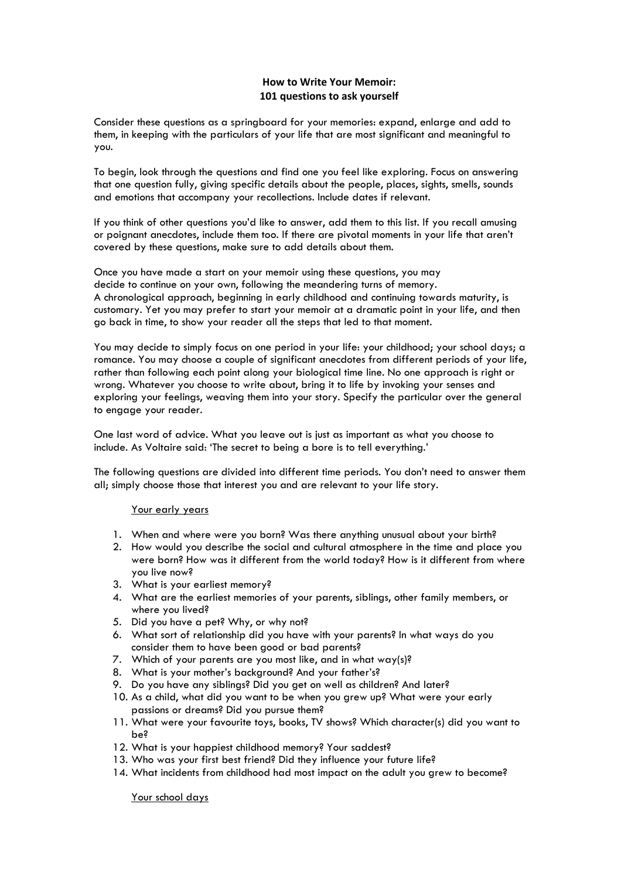# **How to Write Your Memoir: 101 questions to ask yourself**

Consider these questions as a springboard for your memories: expand, enlarge and add to them, in keeping with the particulars of your life that are most significant and meaningful to you.

To begin, look through the questions and find one you feel like exploring. Focus on answering that one question fully, giving specific details about the people, places, sights, smells, sounds and emotions that accompany your recollections. Include dates if relevant.

If you think of other questions you'd like to answer, add them to this list. If you recall amusing or poignant anecdotes, include them too. If there are pivotal moments in your life that aren't covered by these questions, make sure to add details about them.

Once you have made a start on your memoir using these questions, you may decide to continue on your own, following the meandering turns of memory. A chronological approach, beginning in early childhood and continuing towards maturity, is customary. Yet you may prefer to start your memoir at a dramatic point in your life, and then go back in time, to show your reader all the steps that led to that moment.

You may decide to simply focus on one period in your life: your childhood; your school days; a romance. You may choose a couple of significant anecdotes from different periods of your life, rather than following each point along your biological time line. No one approach is right or wrong. Whatever you choose to write about, bring it to life by invoking your senses and exploring your feelings, weaving them into your story. Specify the particular over the general to engage your reader.

One last word of advice. What you leave out is just as important as what you choose to include. As Voltaire said: 'The secret to being a bore is to tell everything.'

The following questions are divided into different time periods. You don't need to answer them all; simply choose those that interest you and are relevant to your life story.

# Your early years

- 1. When and where were you born? Was there anything unusual about your birth?
- 2. How would you describe the social and cultural atmosphere in the time and place you were born? How was it different from the world today? How is it different from where you live now?
- 3. What is your earliest memory?
- 4. What are the earliest memories of your parents, siblings, other family members, or where you lived?
- 5. Did you have a pet? Why, or why not?
- 6. What sort of relationship did you have with your parents? In what ways do you consider them to have been good or bad parents?
- 7. Which of your parents are you most like, and in what way(s)?
- 8. What is your mother's background? And your father's?
- 9. Do you have any siblings? Did you get on well as children? And later?
- 10. As a child, what did you want to be when you grew up? What were your early passions or dreams? Did you pursue them?
- 11. What were your favourite toys, books, TV shows? Which character(s) did you want to be?
- 12. What is your happiest childhood memory? Your saddest?
- 13. Who was your first best friend? Did they influence your future life?
- 14. What incidents from childhood had most impact on the adult you grew to become?

Your school days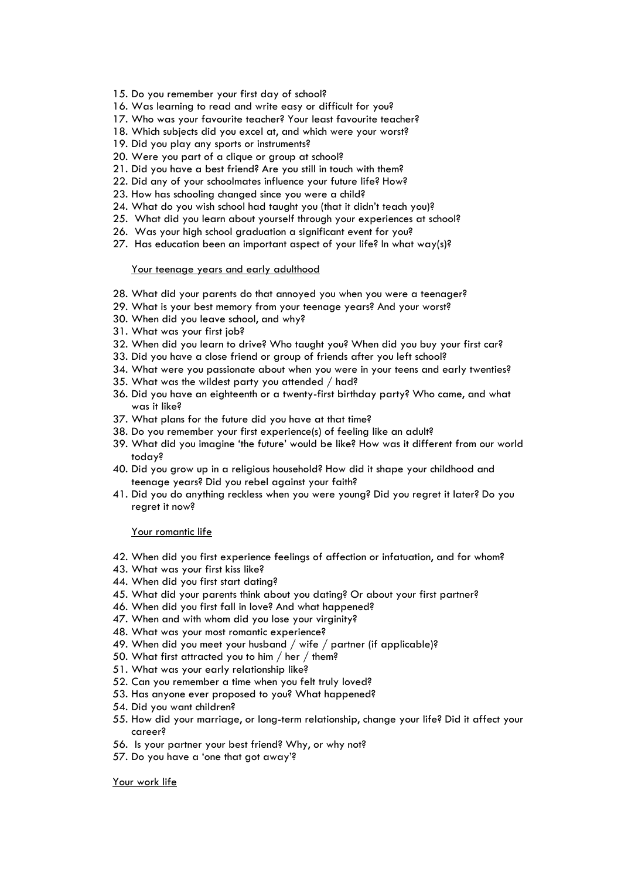- 15. Do you remember your first day of school?
- 16. Was learning to read and write easy or difficult for you?
- 17. Who was your favourite teacher? Your least favourite teacher?
- 18. Which subjects did you excel at, and which were your worst?
- 19. Did you play any sports or instruments?
- 20. Were you part of a clique or group at school?
- 21. Did you have a best friend? Are you still in touch with them?
- 22. Did any of your schoolmates influence your future life? How?
- 23. How has schooling changed since you were a child?
- 24. What do you wish school had taught you (that it didn't teach you)?
- 25. What did you learn about yourself through your experiences at school?
- 26. Was your high school graduation a significant event for you?
- 27. Has education been an important aspect of your life? In what way(s)?

#### Your teenage years and early adulthood

- 28. What did your parents do that annoyed you when you were a teenager?
- 29. What is your best memory from your teenage years? And your worst?
- 30. When did you leave school, and why?
- 31. What was your first job?
- 32. When did you learn to drive? Who taught you? When did you buy your first car?
- 33. Did you have a close friend or group of friends after you left school?
- 34. What were you passionate about when you were in your teens and early twenties?
- 35. What was the wildest party you attended / had?
- 36. Did you have an eighteenth or a twenty-first birthday party? Who came, and what was it like?
- 37. What plans for the future did you have at that time?
- 38. Do you remember your first experience(s) of feeling like an adult?
- 39. What did you imagine 'the future' would be like? How was it different from our world today?
- 40. Did you grow up in a religious household? How did it shape your childhood and teenage years? Did you rebel against your faith?
- 41. Did you do anything reckless when you were young? Did you regret it later? Do you regret it now?

#### Your romantic life

- 42. When did you first experience feelings of affection or infatuation, and for whom?
- 43. What was your first kiss like?
- 44. When did you first start dating?
- 45. What did your parents think about you dating? Or about your first partner?
- 46. When did you first fall in love? And what happened?
- 47. When and with whom did you lose your virginity?
- 48. What was your most romantic experience?
- 49. When did you meet your husband / wife / partner (if applicable)?
- 50. What first attracted you to him / her / them?
- 51. What was your early relationship like?
- 52. Can you remember a time when you felt truly loved?
- 53. Has anyone ever proposed to you? What happened?
- 54. Did you want children?
- 55. How did your marriage, or long-term relationship, change your life? Did it affect your career?
- 56. Is your partner your best friend? Why, or why not?
- 57. Do you have a 'one that got away'?

Your work life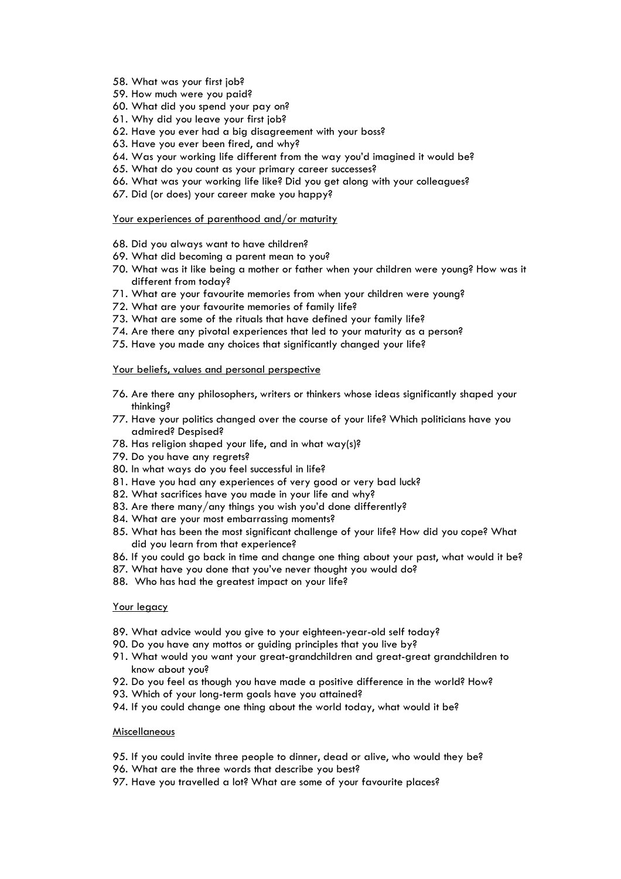- 58. What was your first job?
- 59. How much were you paid?
- 60. What did you spend your pay on?
- 61. Why did you leave your first job?
- 62. Have you ever had a big disagreement with your boss?
- 63. Have you ever been fired, and why?
- 64. Was your working life different from the way you'd imagined it would be?
- 65. What do you count as your primary career successes?
- 66. What was your working life like? Did you get along with your colleagues?
- 67. Did (or does) your career make you happy?

#### Your experiences of parenthood and/or maturity

- 68. Did you always want to have children?
- 69. What did becoming a parent mean to you?
- 70. What was it like being a mother or father when your children were young? How was it different from today?
- 71. What are your favourite memories from when your children were young?
- 72. What are your favourite memories of family life?
- 73. What are some of the rituals that have defined your family life?
- 74. Are there any pivotal experiences that led to your maturity as a person?
- 75. Have you made any choices that significantly changed your life?

#### Your beliefs, values and personal perspective

- 76. Are there any philosophers, writers or thinkers whose ideas significantly shaped your thinking?
- 77. Have your politics changed over the course of your life? Which politicians have you admired? Despised?
- 78. Has religion shaped your life, and in what way(s)?
- 79. Do you have any regrets?
- 80. In what ways do you feel successful in life?
- 81. Have you had any experiences of very good or very bad luck?
- 82. What sacrifices have you made in your life and why?
- 83. Are there many/any things you wish you'd done differently?
- 84. What are your most embarrassing moments?
- 85. What has been the most significant challenge of your life? How did you cope? What did you learn from that experience?
- 86. If you could go back in time and change one thing about your past, what would it be?
- 87. What have you done that you've never thought you would do?
- 88. Who has had the greatest impact on your life?

## Your legacy

- 89. What advice would you give to your eighteen-year-old self today?
- 90. Do you have any mottos or guiding principles that you live by?
- 91. What would you want your great-grandchildren and great-great grandchildren to know about you?
- 92. Do you feel as though you have made a positive difference in the world? How?
- 93. Which of your long-term goals have you attained?
- 94. If you could change one thing about the world today, what would it be?

## Miscellaneous

- 95. If you could invite three people to dinner, dead or alive, who would they be?
- 96. What are the three words that describe you best?
- 97. Have you travelled a lot? What are some of your favourite places?